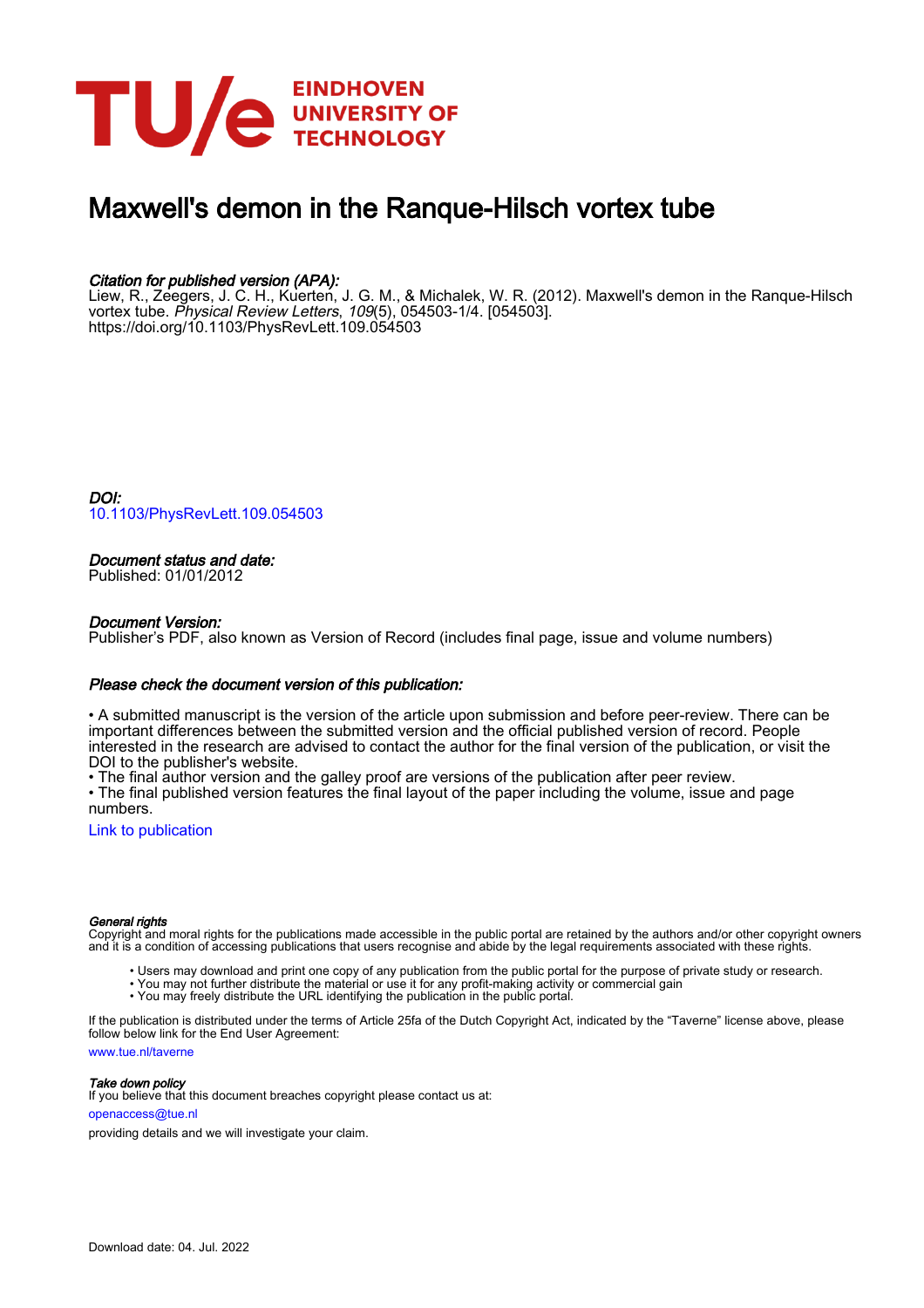

# Maxwell's demon in the Ranque-Hilsch vortex tube

## Citation for published version (APA):

Liew, R., Zeegers, J. C. H., Kuerten, J. G. M., & Michalek, W. R. (2012). Maxwell's demon in the Ranque-Hilsch vortex tube. Physical Review Letters, 109(5), 054503-1/4. [054503]. <https://doi.org/10.1103/PhysRevLett.109.054503>

DOI: [10.1103/PhysRevLett.109.054503](https://doi.org/10.1103/PhysRevLett.109.054503)

### Document status and date:

Published: 01/01/2012

#### Document Version:

Publisher's PDF, also known as Version of Record (includes final page, issue and volume numbers)

#### Please check the document version of this publication:

• A submitted manuscript is the version of the article upon submission and before peer-review. There can be important differences between the submitted version and the official published version of record. People interested in the research are advised to contact the author for the final version of the publication, or visit the DOI to the publisher's website.

• The final author version and the galley proof are versions of the publication after peer review.

• The final published version features the final layout of the paper including the volume, issue and page numbers.

[Link to publication](https://research.tue.nl/en/publications/00475ab9-30af-4aed-974e-20e0c22919da)

#### General rights

Copyright and moral rights for the publications made accessible in the public portal are retained by the authors and/or other copyright owners and it is a condition of accessing publications that users recognise and abide by the legal requirements associated with these rights.

- Users may download and print one copy of any publication from the public portal for the purpose of private study or research.
- You may not further distribute the material or use it for any profit-making activity or commercial gain
- You may freely distribute the URL identifying the publication in the public portal.

If the publication is distributed under the terms of Article 25fa of the Dutch Copyright Act, indicated by the "Taverne" license above, please follow below link for the End User Agreement:

www.tue.nl/taverne

**Take down policy**<br>If you believe that this document breaches copyright please contact us at:

openaccess@tue.nl

providing details and we will investigate your claim.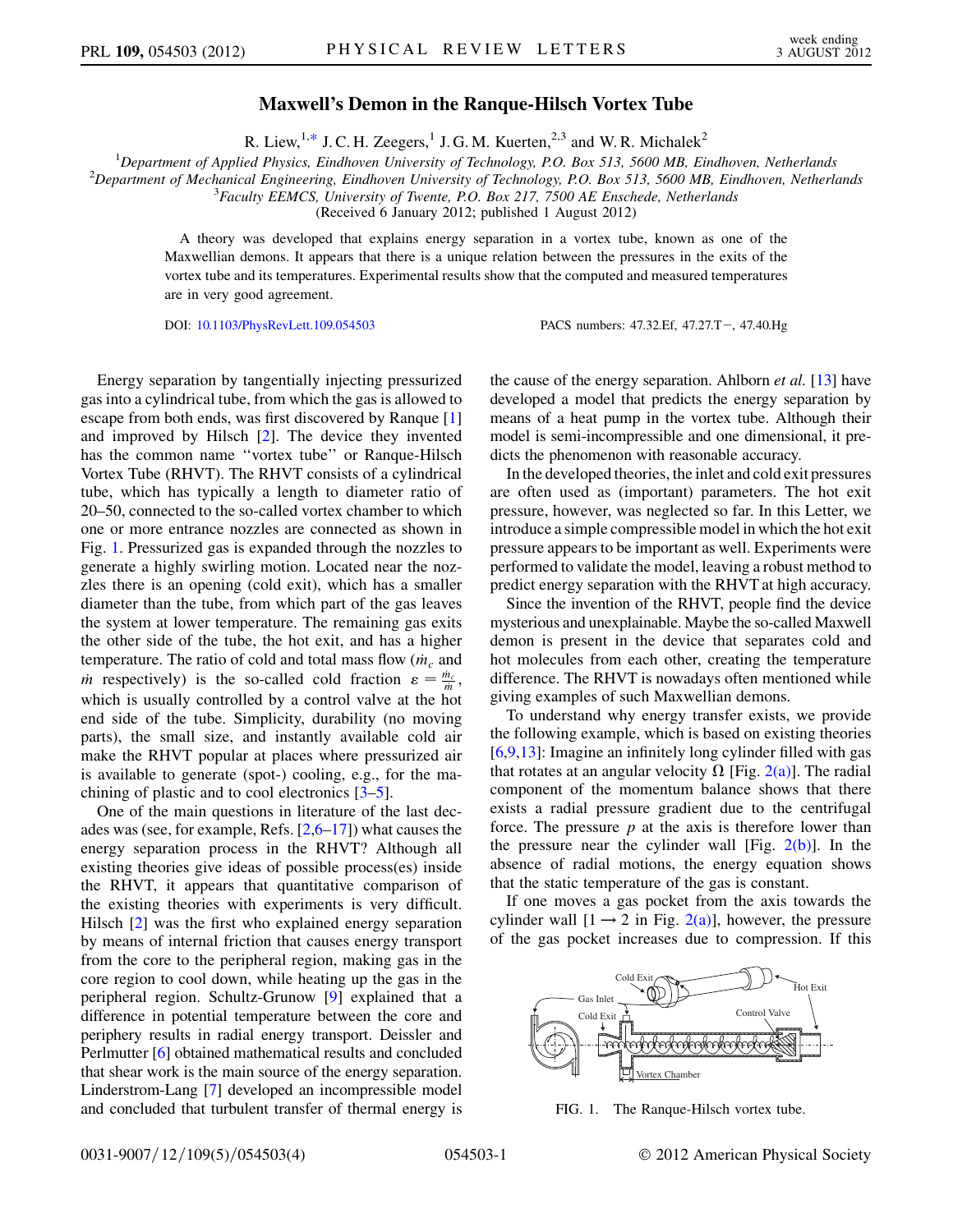### Maxwell's Demon in the Ranque-Hilsch Vortex Tube

R. Liew,<sup>1[,\\*](#page-4-0)</sup> J. C. H. Zeegers,<sup>1</sup> J. G. M. Kuerten,<sup>2,3</sup> and W. R. Michalek<sup>2</sup>

<span id="page-1-1"></span><sup>1</sup>Department of Applied Physics, Eindhoven University of Technology, P.O. Box 513, 5600 MB, Eindhoven, Netherlands<br><sup>2</sup>Department of Mechanical Engineering, Eindhoven University of Technology, P.O. Box 513, 5600 MB, Eindho

 $^{2}$ Department of Mechanical Engineering, Eindhoven University of Technology, P.O. Box 513, 5600 MB, Eindhoven, Netherlands

 $3$ Faculty EEMCS, University of Twente, P.O. Box 217, 7500 AE Enschede, Netherlands

(Received 6 January 2012; published 1 August 2012)

A theory was developed that explains energy separation in a vortex tube, known as one of the Maxwellian demons. It appears that there is a unique relation between the pressures in the exits of the vortex tube and its temperatures. Experimental results show that the computed and measured temperatures are in very good agreement.

DOI: [10.1103/PhysRevLett.109.054503](http://dx.doi.org/10.1103/PhysRevLett.109.054503) PACS numbers: 47.32.Ef, 47.27.T, 47.40.Hg

Energy separation by tangentially injecting pressurized gas into a cylindrical tube, from which the gas is allowed to escape from both ends, was first discovered by Ranque [\[1\]](#page-4-1) and improved by Hilsch [\[2\]](#page-4-2). The device they invented has the common name ''vortex tube'' or Ranque-Hilsch Vortex Tube (RHVT). The RHVT consists of a cylindrical tube, which has typically a length to diameter ratio of 20–50, connected to the so-called vortex chamber to which one or more entrance nozzles are connected as shown in Fig. [1.](#page-1-0) Pressurized gas is expanded through the nozzles to generate a highly swirling motion. Located near the nozzles there is an opening (cold exit), which has a smaller diameter than the tube, from which part of the gas leaves the system at lower temperature. The remaining gas exits the other side of the tube, the hot exit, and has a higher temperature. The ratio of cold and total mass flow  $(m_c$  and *m* respectively) is the so-called cold fraction  $\varepsilon = \frac{\dot{m}_c}{m}$ , which is usually controlled by a control valve at the hot end side of the tube. Simplicity, durability (no moving parts), the small size, and instantly available cold air make the RHVT popular at places where pressurized air is available to generate (spot-) cooling, e.g., for the machining of plastic and to cool electronics [\[3](#page-4-3)–[5\]](#page-4-4).

One of the main questions in literature of the last decades was (see, for example, Refs.  $[2,6-17]$  $[2,6-17]$  $[2,6-17]$  $[2,6-17]$ ) what causes the energy separation process in the RHVT? Although all existing theories give ideas of possible process(es) inside the RHVT, it appears that quantitative comparison of the existing theories with experiments is very difficult. Hilsch [[2\]](#page-4-2) was the first who explained energy separation by means of internal friction that causes energy transport from the core to the peripheral region, making gas in the core region to cool down, while heating up the gas in the peripheral region. Schultz-Grunow [[9\]](#page-4-7) explained that a difference in potential temperature between the core and periphery results in radial energy transport. Deissler and Perlmutter [\[6](#page-4-5)] obtained mathematical results and concluded that shear work is the main source of the energy separation. Linderstrom-Lang [\[7](#page-4-8)] developed an incompressible model and concluded that turbulent transfer of thermal energy is the cause of the energy separation. Ahlborn et al. [\[13\]](#page-4-9) have developed a model that predicts the energy separation by means of a heat pump in the vortex tube. Although their model is semi-incompressible and one dimensional, it predicts the phenomenon with reasonable accuracy.

In the developed theories, the inlet and cold exit pressures are often used as (important) parameters. The hot exit pressure, however, was neglected so far. In this Letter, we introduce a simple compressible model in which the hot exit pressure appears to be important as well. Experiments were performed to validate the model, leaving a robust method to predict energy separation with the RHVT at high accuracy.

Since the invention of the RHVT, people find the device mysterious and unexplainable. Maybe the so-called Maxwell demon is present in the device that separates cold and hot molecules from each other, creating the temperature difference. The RHVT is nowadays often mentioned while giving examples of such Maxwellian demons.

To understand why energy transfer exists, we provide the following example, which is based on existing theories [\[6,](#page-4-5)[9](#page-4-7)[,13\]](#page-4-9): Imagine an infinitely long cylinder filled with gas that rotates at an angular velocity  $\Omega$  [Fig. [2\(a\)](#page-2-0)]. The radial component of the momentum balance shows that there exists a radial pressure gradient due to the centrifugal force. The pressure  $p$  at the axis is therefore lower than the pressure near the cylinder wall [Fig.  $2(b)$ ]. In the absence of radial motions, the energy equation shows that the static temperature of the gas is constant.

If one moves a gas pocket from the axis towards the cylinder wall  $[1 \rightarrow 2$  in Fig. [2\(a\)](#page-2-0)], however, the pressure of the gas pocket increases due to compression. If this

<span id="page-1-0"></span>

FIG. 1. The Ranque-Hilsch vortex tube.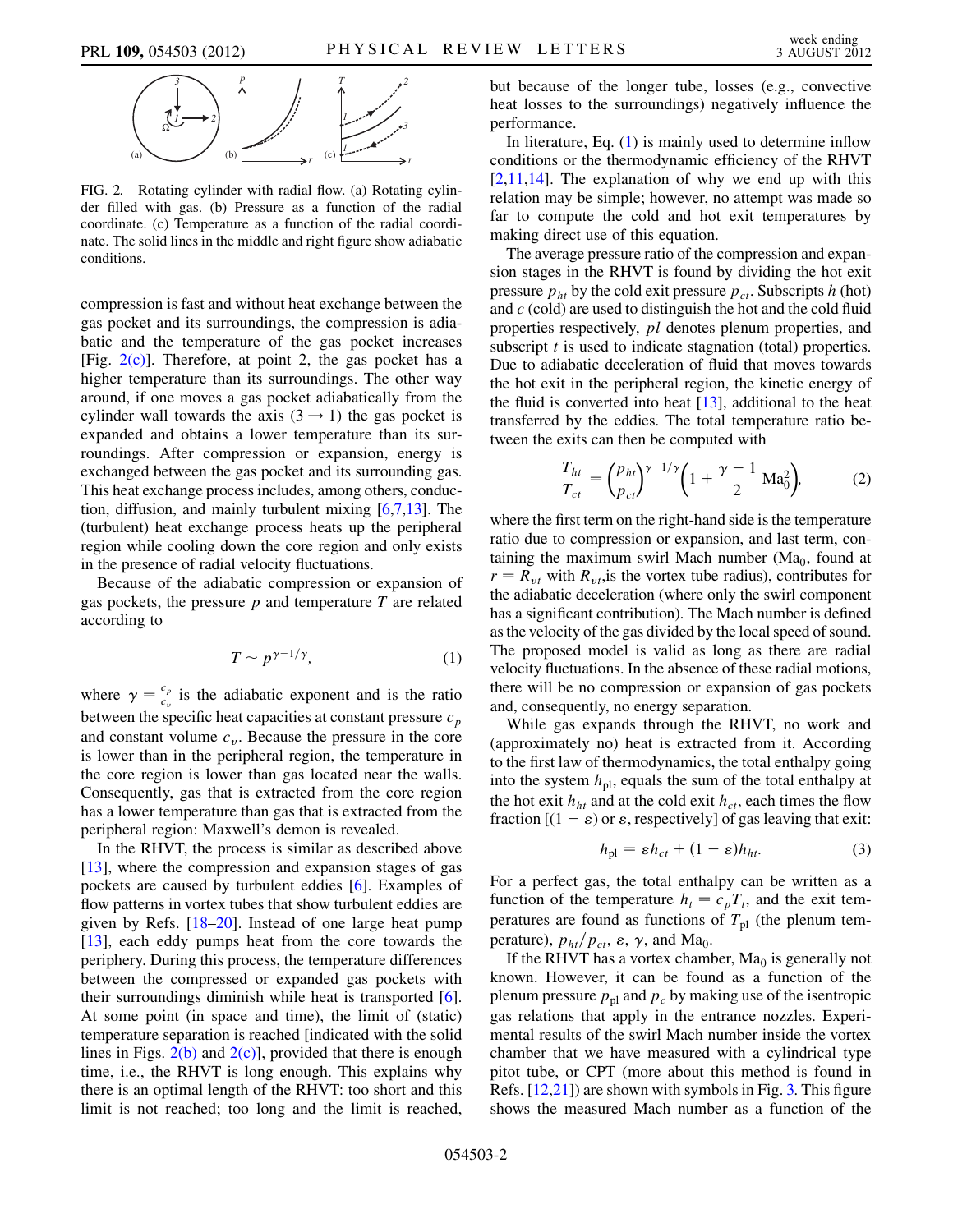

<span id="page-2-0"></span>FIG. 2. Rotating cylinder with radial flow. (a) Rotating cylinder filled with gas. (b) Pressure as a function of the radial coordinate. (c) Temperature as a function of the radial coordinate. The solid lines in the middle and right figure show adiabatic conditions.

compression is fast and without heat exchange between the gas pocket and its surroundings, the compression is adiabatic and the temperature of the gas pocket increases [Fig.  $2(c)$ ]. Therefore, at point 2, the gas pocket has a higher temperature than its surroundings. The other way around, if one moves a gas pocket adiabatically from the cylinder wall towards the axis  $(3 \rightarrow 1)$  the gas pocket is expanded and obtains a lower temperature than its surroundings. After compression or expansion, energy is exchanged between the gas pocket and its surrounding gas. This heat exchange process includes, among others, conduction, diffusion, and mainly turbulent mixing [[6](#page-4-5)[,7](#page-4-8),[13](#page-4-9)]. The (turbulent) heat exchange process heats up the peripheral region while cooling down the core region and only exists in the presence of radial velocity fluctuations.

<span id="page-2-1"></span>Because of the adiabatic compression or expansion of gas pockets, the pressure  $p$  and temperature  $T$  are related according to

$$
T \sim p^{\gamma - 1/\gamma},\tag{1}
$$

where  $\gamma = \frac{c_p}{c_v}$  is the adiabatic exponent and is the ratio between the specific heat capacities at constant pressure  $c_p$ and constant volume  $c_v$ . Because the pressure in the core is lower than in the peripheral region, the temperature in the core region is lower than gas located near the walls. Consequently, gas that is extracted from the core region has a lower temperature than gas that is extracted from the peripheral region: Maxwell's demon is revealed.

In the RHVT, the process is similar as described above  $[13]$ , where the compression and expansion stages of gas pockets are caused by turbulent eddies [[6\]](#page-4-5). Examples of flow patterns in vortex tubes that show turbulent eddies are given by Refs. [\[18–](#page-4-10)[20](#page-4-11)]. Instead of one large heat pump [\[13\]](#page-4-9), each eddy pumps heat from the core towards the periphery. During this process, the temperature differences between the compressed or expanded gas pockets with their surroundings diminish while heat is transported [[6\]](#page-4-5). At some point (in space and time), the limit of (static) temperature separation is reached [indicated with the solid lines in Figs.  $2(b)$  and  $2(c)$ ], provided that there is enough time, i.e., the RHVT is long enough. This explains why there is an optimal length of the RHVT: too short and this limit is not reached; too long and the limit is reached, but because of the longer tube, losses (e.g., convective heat losses to the surroundings) negatively influence the performance.

In literature, Eq. [\(1\)](#page-2-1) is mainly used to determine inflow conditions or the thermodynamic efficiency of the RHVT  $[2,11,14]$  $[2,11,14]$  $[2,11,14]$ . The explanation of why we end up with this relation may be simple; however, no attempt was made so far to compute the cold and hot exit temperatures by making direct use of this equation.

The average pressure ratio of the compression and expansion stages in the RHVT is found by dividing the hot exit pressure  $p_{ht}$  by the cold exit pressure  $p_{ct}$ . Subscripts h (hot) and  $c$  (cold) are used to distinguish the hot and the cold fluid properties respectively, pl denotes plenum properties, and subscript  $t$  is used to indicate stagnation (total) properties. Due to adiabatic deceleration of fluid that moves towards the hot exit in the peripheral region, the kinetic energy of the fluid is converted into heat  $[13]$  $[13]$  $[13]$ , additional to the heat transferred by the eddies. The total temperature ratio between the exits can then be computed with

$$
\frac{T_{ht}}{T_{ct}} = \left(\frac{p_{ht}}{p_{ct}}\right)^{\gamma - 1/\gamma} \left(1 + \frac{\gamma - 1}{2} \text{Ma}_0^2\right),\tag{2}
$$

<span id="page-2-2"></span>where the first term on the right-hand side is the temperature ratio due to compression or expansion, and last term, containing the maximum swirl Mach number ( $Ma<sub>0</sub>$ , found at  $r = R_{vt}$  with  $R_{vt}$ , is the vortex tube radius), contributes for the adiabatic deceleration (where only the swirl component has a significant contribution). The Mach number is defined as the velocity of the gas divided by the local speed of sound. The proposed model is valid as long as there are radial velocity fluctuations. In the absence of these radial motions, there will be no compression or expansion of gas pockets and, consequently, no energy separation.

While gas expands through the RHVT, no work and (approximately no) heat is extracted from it. According to the first law of thermodynamics, the total enthalpy going into the system  $h_{\text{pl}}$ , equals the sum of the total enthalpy at the hot exit  $h_{ht}$  and at the cold exit  $h_{ct}$ , each times the flow fraction  $[(1 - \varepsilon)$  or  $\varepsilon$ , respectively] of gas leaving that exit:

$$
h_{\rm pl} = \varepsilon h_{ct} + (1 - \varepsilon) h_{ht}.
$$
 (3)

<span id="page-2-3"></span>For a perfect gas, the total enthalpy can be written as a function of the temperature  $h_t = c_pT_t$ , and the exit temperatures are found as functions of  $T_{\text{pl}}$  (the plenum temperature),  $p_{ht}/p_{ct}$ ,  $\varepsilon$ ,  $\gamma$ , and Ma<sub>0</sub>.

If the RHVT has a vortex chamber,  $Ma<sub>0</sub>$  is generally not known. However, it can be found as a function of the plenum pressure  $p_{\text{pl}}$  and  $p_c$  by making use of the isentropic gas relations that apply in the entrance nozzles. Experimental results of the swirl Mach number inside the vortex chamber that we have measured with a cylindrical type pitot tube, or CPT (more about this method is found in Refs. [\[12](#page-4-14)[,21\]](#page-4-15)) are shown with symbols in Fig. [3.](#page-3-0) This figure shows the measured Mach number as a function of the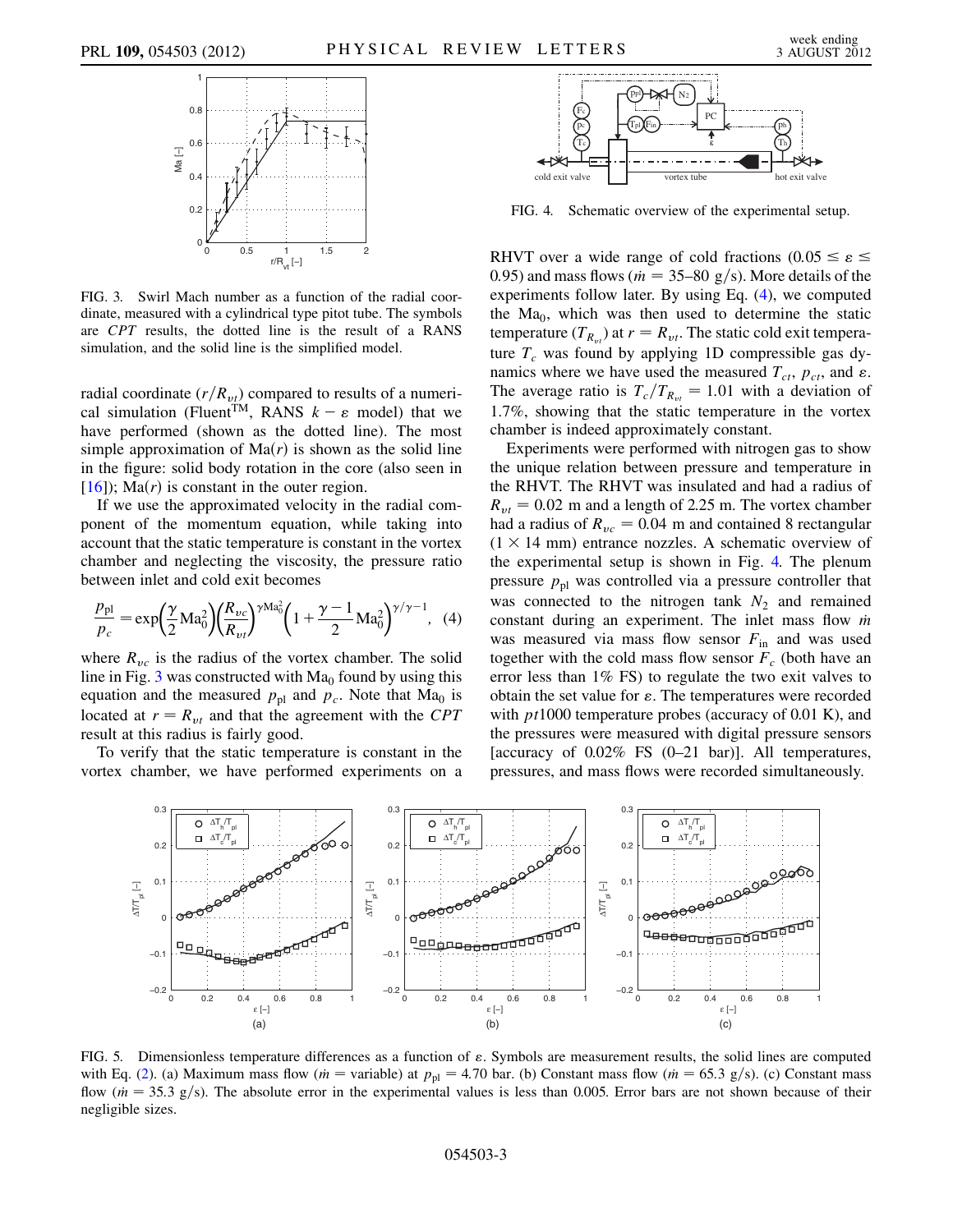<span id="page-3-0"></span>

FIG. 3. Swirl Mach number as a function of the radial coordinate, measured with a cylindrical type pitot tube. The symbols are CPT results, the dotted line is the result of a RANS simulation, and the solid line is the simplified model.

radial coordinate  $(r/R_{vt})$  compared to results of a numerical simulation (Fluent<sup>TM</sup>, RANS  $k - \varepsilon$  model) that we have performed (shown as the dotted line). The most simple approximation of  $Ma(r)$  is shown as the solid line in the figure: solid body rotation in the core (also seen in [\[16\]](#page-4-16)); Ma $(r)$  is constant in the outer region.

If we use the approximated velocity in the radial component of the momentum equation, while taking into account that the static temperature is constant in the vortex chamber and neglecting the viscosity, the pressure ratio between inlet and cold exit becomes

<span id="page-3-1"></span>
$$
\frac{p_{\rm pl}}{p_c} = \exp\left(\frac{\gamma}{2} \text{Ma}_0^2\right) \left(\frac{R_{\nu c}}{R_{\nu t}}\right)^{\gamma \text{Ma}_0^2} \left(1 + \frac{\gamma - 1}{2} \text{Ma}_0^2\right)^{\gamma/\gamma - 1}, \tag{4}
$$

where  $R_{vc}$  is the radius of the vortex chamber. The solid line in Fig. [3](#page-3-0) was constructed with  $Ma<sub>0</sub>$  found by using this equation and the measured  $p_{\text{pl}}$  and  $p_c$ . Note that Ma<sub>0</sub> is located at  $r = R_{vt}$  and that the agreement with the CPT result at this radius is fairly good.

To verify that the static temperature is constant in the vortex chamber, we have performed experiments on a

<span id="page-3-2"></span>

FIG. 4. Schematic overview of the experimental setup.

RHVT over a wide range of cold fractions (0.05  $\leq \varepsilon$   $\leq$ 0.95) and mass flows ( $\dot{m} = 35$ –80 g/s). More details of the experiments follow later. By using Eq. [\(4](#page-3-1)), we computed the  $Ma<sub>0</sub>$ , which was then used to determine the static temperature  $(T_{R_{vt}})$  at  $r = R_{vt}$ . The static cold exit temperature  $T_c$  was found by applying 1D compressible gas dynamics where we have used the measured  $T_{ct}$ ,  $p_{ct}$ , and  $\varepsilon$ . The average ratio is  $T_c/T_{R_{vt}} = 1.01$  with a deviation of 1.7%, showing that the static temperature in the vortex chamber is indeed approximately constant.

Experiments were performed with nitrogen gas to show the unique relation between pressure and temperature in the RHVT. The RHVT was insulated and had a radius of  $R_{vt} = 0.02$  m and a length of 2.25 m. The vortex chamber had a radius of  $R_{vc} = 0.04$  m and contained 8 rectangular  $(1 \times 14 \text{ mm})$  entrance nozzles. A schematic overview of the experimental setup is shown in Fig. [4.](#page-3-2) The plenum pressure  $p_{\text{pl}}$  was controlled via a pressure controller that was connected to the nitrogen tank  $N_2$  and remained constant during an experiment. The inlet mass flow  $\dot{m}$ was measured via mass flow sensor  $F_{\text{in}}$  and was used together with the cold mass flow sensor  $F_c$  (both have an error less than 1% FS) to regulate the two exit valves to obtain the set value for  $\varepsilon$ . The temperatures were recorded with  $pt1000$  temperature probes (accuracy of 0.01 K), and the pressures were measured with digital pressure sensors [accuracy of 0.02% FS (0–21 bar)]. All temperatures, pressures, and mass flows were recorded simultaneously.

<span id="page-3-3"></span>

<span id="page-3-4"></span>FIG. 5. Dimensionless temperature differences as a function of  $\varepsilon$ . Symbols are measurement results, the solid lines are computed with Eq. ([2\)](#page-2-2). (a) Maximum mass flow ( $m =$  variable) at  $p_{pl} = 4.70$  bar. (b) Constant mass flow ( $m = 65.3$  g/s). (c) Constant mass flow ( $\dot{m} = 35.3$  g/s). The absolute error in the experimental values is less than 0.005. Error bars are not shown because of their negligible sizes.